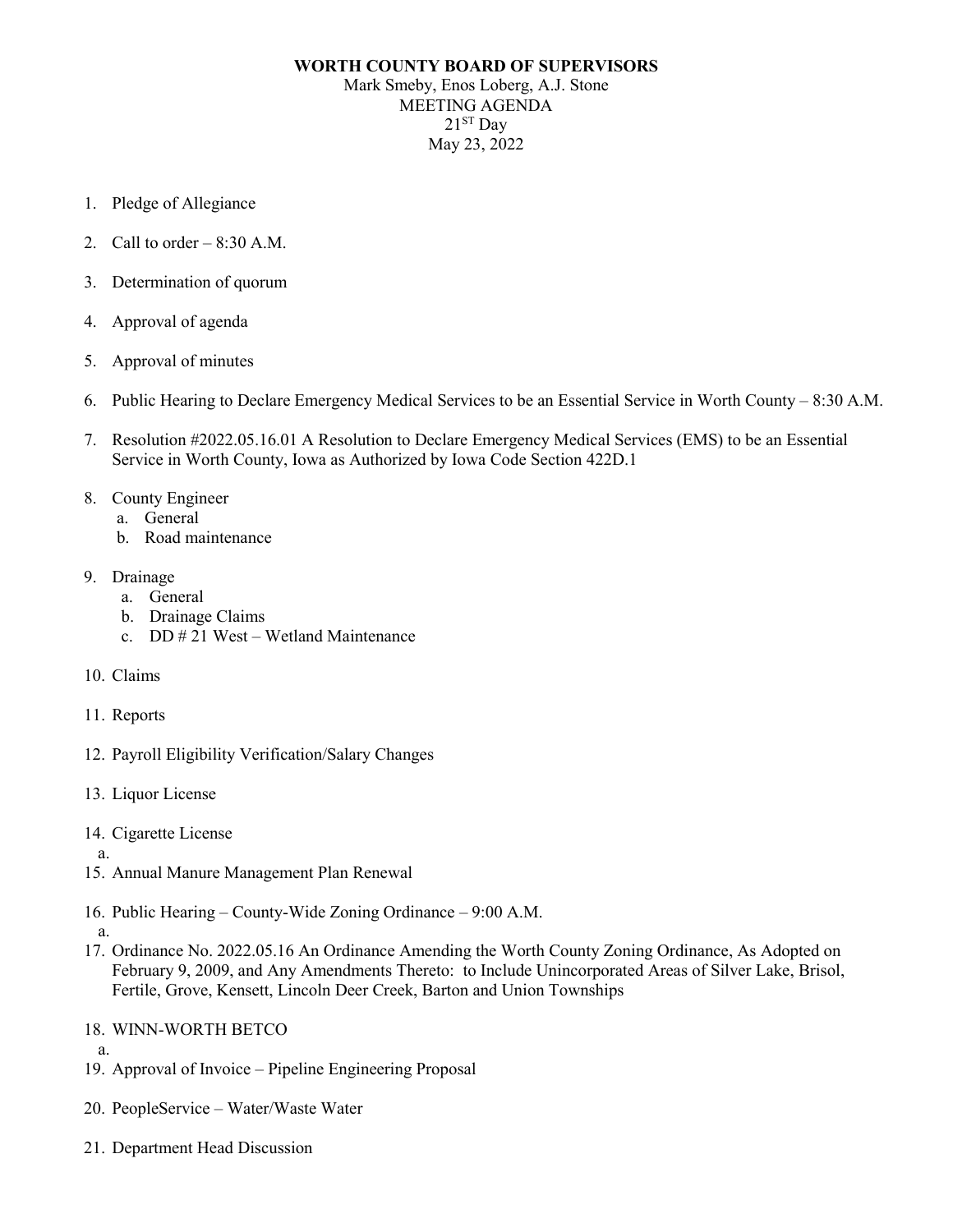## **WORTH COUNTY BOARD OF SUPERVISORS** Mark Smeby, Enos Loberg, A.J. Stone MEETING AGENDA  $21<sup>ST</sup>$  Day May 23, 2022

- 1. Pledge of Allegiance
- 2. Call to order  $-8:30$  A.M.
- 3. Determination of quorum
- 4. Approval of agenda
- 5. Approval of minutes
- 6. Public Hearing to Declare Emergency Medical Services to be an Essential Service in Worth County 8:30 A.M.
- 7. Resolution #2022.05.16.01 A Resolution to Declare Emergency Medical Services (EMS) to be an Essential Service in Worth County, Iowa as Authorized by Iowa Code Section 422D.1
- 8. County Engineer
	- a. General
	- b. Road maintenance
- 9. Drainage
	- a. General
	- b. Drainage Claims
	- c. DD # 21 West Wetland Maintenance
- 10. Claims
- 11. Reports
- 12. Payroll Eligibility Verification/Salary Changes
- 13. Liquor License
- 14. Cigarette License
- a.
- 15. Annual Manure Management Plan Renewal
- 16. Public Hearing County-Wide Zoning Ordinance 9:00 A.M.
- a.
- 17. Ordinance No. 2022.05.16 An Ordinance Amending the Worth County Zoning Ordinance, As Adopted on February 9, 2009, and Any Amendments Thereto: to Include Unincorporated Areas of Silver Lake, Brisol, Fertile, Grove, Kensett, Lincoln Deer Creek, Barton and Union Townships
- 18. WINN-WORTH BETCO
- a. 19. Approval of Invoice – Pipeline Engineering Proposal
- 20. PeopleService Water/Waste Water
- 21. Department Head Discussion